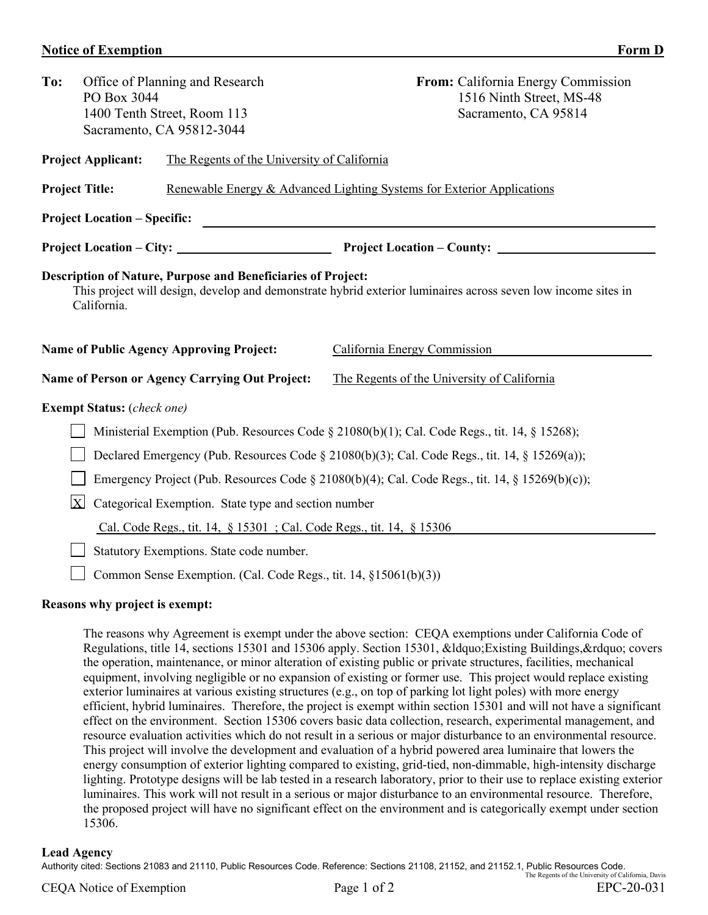## **Notice of Exemption Form D**

| To:                                                                                                                                                                                                 | PO Box 3044                                                      | Office of Planning and Research<br>1400 Tenth Street, Room 113<br>Sacramento, CA 95812-3044 | From: California Energy Commission<br>1516 Ninth Street, MS-48<br>Sacramento, CA 95814 |  |  |  |  |  |
|-----------------------------------------------------------------------------------------------------------------------------------------------------------------------------------------------------|------------------------------------------------------------------|---------------------------------------------------------------------------------------------|----------------------------------------------------------------------------------------|--|--|--|--|--|
| <b>Project Applicant:</b><br>The Regents of the University of California                                                                                                                            |                                                                  |                                                                                             |                                                                                        |  |  |  |  |  |
| <b>Project Title:</b>                                                                                                                                                                               |                                                                  |                                                                                             | Renewable Energy & Advanced Lighting Systems for Exterior Applications                 |  |  |  |  |  |
| <b>Project Location – Specific:</b><br><u>and the state of the state of the state of the state of the state of the state of the state of the state of th</u>                                        |                                                                  |                                                                                             |                                                                                        |  |  |  |  |  |
|                                                                                                                                                                                                     |                                                                  |                                                                                             |                                                                                        |  |  |  |  |  |
| <b>Description of Nature, Purpose and Beneficiaries of Project:</b><br>This project will design, develop and demonstrate hybrid exterior luminaires across seven low income sites in<br>California. |                                                                  |                                                                                             |                                                                                        |  |  |  |  |  |
|                                                                                                                                                                                                     |                                                                  | <b>Name of Public Agency Approving Project:</b>                                             | California Energy Commission                                                           |  |  |  |  |  |
|                                                                                                                                                                                                     |                                                                  | Name of Person or Agency Carrying Out Project:                                              | The Regents of the University of California                                            |  |  |  |  |  |
| <b>Exempt Status:</b> (check one)                                                                                                                                                                   |                                                                  |                                                                                             |                                                                                        |  |  |  |  |  |
| Ministerial Exemption (Pub. Resources Code § 21080(b)(1); Cal. Code Regs., tit. 14, § 15268);                                                                                                       |                                                                  |                                                                                             |                                                                                        |  |  |  |  |  |
| Declared Emergency (Pub. Resources Code § 21080(b)(3); Cal. Code Regs., tit. 14, § 15269(a));                                                                                                       |                                                                  |                                                                                             |                                                                                        |  |  |  |  |  |
| Emergency Project (Pub. Resources Code § 21080(b)(4); Cal. Code Regs., tit. 14, § 15269(b)(c));                                                                                                     |                                                                  |                                                                                             |                                                                                        |  |  |  |  |  |
| $\mathbf{X}$<br>Categorical Exemption. State type and section number                                                                                                                                |                                                                  |                                                                                             |                                                                                        |  |  |  |  |  |
| Cal. Code Regs., tit. 14, § 15301 ; Cal. Code Regs., tit. 14, § 15306                                                                                                                               |                                                                  |                                                                                             |                                                                                        |  |  |  |  |  |
| Statutory Exemptions. State code number.                                                                                                                                                            |                                                                  |                                                                                             |                                                                                        |  |  |  |  |  |
|                                                                                                                                                                                                     | Common Sense Exemption. (Cal. Code Regs., tit. 14, §15061(b)(3)) |                                                                                             |                                                                                        |  |  |  |  |  |
| Regeone why project is exempt.                                                                                                                                                                      |                                                                  |                                                                                             |                                                                                        |  |  |  |  |  |

## **Reasons why project is exempt:**

The reasons why Agreement is exempt under the above section: CEQA exemptions under California Code of Regulations, title 14, sections 15301 and 15306 apply. Section 15301, " Existing Buildings, " covers the operation, maintenance, or minor alteration of existing public or private structures, facilities, mechanical equipment, involving negligible or no expansion of existing or former use. This project would replace existing exterior luminaires at various existing structures (e.g., on top of parking lot light poles) with more energy efficient, hybrid luminaires. Therefore, the project is exempt within section 15301 and will not have a significant effect on the environment. Section 15306 covers basic data collection, research, experimental management, and resource evaluation activities which do not result in a serious or major disturbance to an environmental resource. This project will involve the development and evaluation of a hybrid powered area luminaire that lowers the energy consumption of exterior lighting compared to existing, grid-tied, non-dimmable, high-intensity discharge lighting. Prototype designs will be lab tested in a research laboratory, prior to their use to replace existing exterior luminaires. This work will not result in a serious or major disturbance to an environmental resource. Therefore, the proposed project will have no significant effect on the environment and is categorically exempt under section 15306.

## **Lead Agency**

Authority cited: Sections 21083 and 21110, Public Resources Code. Reference: Sections 21108, 21152, and 21152.1, Public Resources Code. The Regents of the University of California, Davis